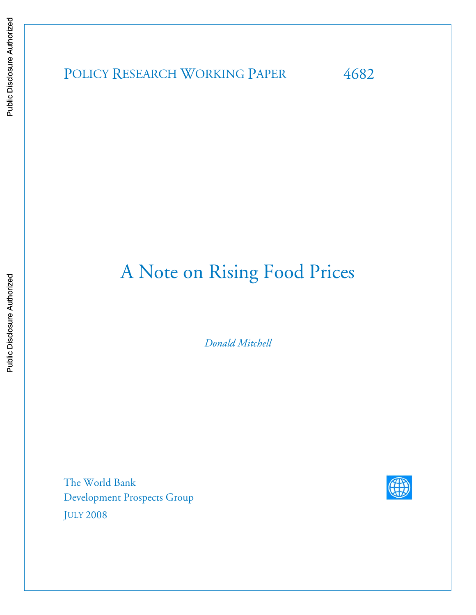## POLICY RESEARCH WORKING PAPER 4682



# A Note on Rising Food Prices

*Donald Mitchell* 

The World Bank Development Prospects Group JULY 2008

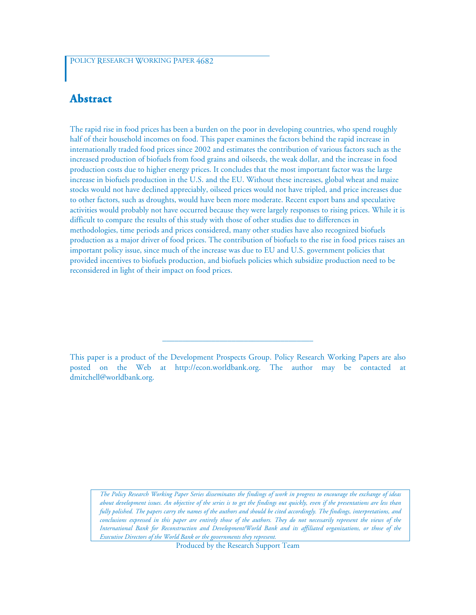POLICY RESEARCH WORKING PAPER 4682

## **Abstract**

The rapid rise in food prices has been a burden on the poor in developing countries, who spend roughly half of their household incomes on food. This paper examines the factors behind the rapid increase in internationally traded food prices since 2002 and estimates the contribution of various factors such as the increased production of biofuels from food grains and oilseeds, the weak dollar, and the increase in food production costs due to higher energy prices. It concludes that the most important factor was the large increase in biofuels production in the U.S. and the EU. Without these increases, global wheat and maize stocks would not have declined appreciably, oilseed prices would not have tripled, and price increases due to other factors, such as droughts, would have been more moderate. Recent export bans and speculative activities would probably not have occurred because they were largely responses to rising prices. While it is difficult to compare the results of this study with those of other studies due to differences in methodologies, time periods and prices considered, many other studies have also recognized biofuels production as a major driver of food prices. The contribution of biofuels to the rise in food prices raises an important policy issue, since much of the increase was due to EU and U.S. government policies that provided incentives to biofuels production, and biofuels policies which subsidize production need to be reconsidered in light of their impact on food prices.

This paper is a product of the Development Prospects Group. Policy Research Working Papers are also posted on the Web at http://econ.worldbank.org. The author may be contacted at dmitchell@worldbank.org.

\_\_\_\_\_\_\_\_\_\_\_\_\_\_\_\_\_\_\_\_\_\_\_\_\_\_\_\_\_\_\_\_\_\_\_\_\_

*The Policy Research Working Paper Series disseminates the findings of work in progress to encourage the exchange of ideas about development issues. An objective of the series is to get the findings out quickly, even if the presentations are less than fully polished. The papers carry the names of the authors and should be cited accordingly. The findings, interpretations, and conclusions expressed in this paper are entirely those of the authors. They do not necessarily represent the views of the International Bank for Reconstruction and Development/World Bank and its affiliated organizations, or those of the Executive Directors of the World Bank or the governments they represent.*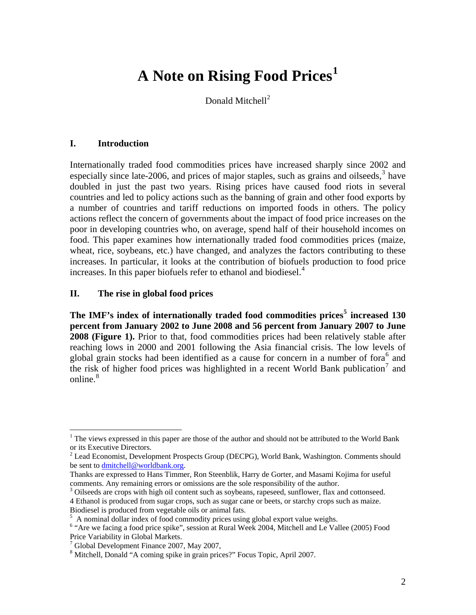# **A Note on Rising Food Prices[1](#page-2-0)**

Donald Mitchell<sup>[2](#page-2-1)</sup>

#### **I. Introduction**

 $\overline{a}$ 

Internationally traded food commodities prices have increased sharply since 2002 and especially since late-2006, and prices of major staples, such as grains and oilseeds, $3$  have doubled in just the past two years. Rising prices have caused food riots in several countries and led to policy actions such as the banning of grain and other food exports by a number of countries and tariff reductions on imported foods in others. The policy actions reflect the concern of governments about the impact of food price increases on the poor in developing countries who, on average, spend half of their household incomes on food. This paper examines how internationally traded food commodities prices (maize, wheat, rice, soybeans, etc.) have changed, and analyzes the factors contributing to these increases. In particular, it looks at the contribution of biofuels production to food price increases. In this paper biofuels refer to ethanol and biodiesel.<sup>[4](#page-2-3)</sup>

#### **II. The rise in global food prices**

**The IMF's index of internationally traded food commodities prices[5](#page-2-4) increased 130 percent from January 2002 to June 2008 and 56 percent from January 2007 to June 2008 (Figure 1).** Prior to that, food commodities prices had been relatively stable after reaching lows in 2000 and 2001 following the Asia financial crisis. The low levels of global grain stocks had been identified as a cause for concern in a number of fora $6$  and the risk of higher food prices was highlighted in a recent World Bank publication<sup>[7](#page-2-6)</sup> and online.<sup>[8](#page-2-7)</sup>

<span id="page-2-4"></span>Biodiesel is produced from vegetable oils or animal fats.

<span id="page-2-0"></span> $1$ <sup>1</sup> The views expressed in this paper are those of the author and should not be attributed to the World Bank or its Executive Directors.

<span id="page-2-1"></span> $2^{2}$  Lead Economist, Development Prospects Group (DECPG), World Bank, Washington. Comments should be sent to [dmitchell@worldbank.org](mailto:dmitchell@worldbank.org).

Thanks are expressed to Hans Timmer, Ron Steenblik, Harry de Gorter, and Masami Kojima for useful comments. Any remaining errors or omissions are the sole responsibility of the author.

<span id="page-2-3"></span><span id="page-2-2"></span><sup>&</sup>lt;sup>3</sup> Oilseeds are crops with high oil content such as soybeans, rapeseed, sunflower, flax and cottonseed. 4 Ethanol is produced from sugar crops, such as sugar cane or beets, or starchy crops such as maize.

<sup>&</sup>lt;sup>5</sup> A nominal dollar index of food commodity prices using global export value weighs.

<span id="page-2-5"></span><sup>&</sup>lt;sup>6</sup> "Are we facing a food price spike", session at Rural Week 2004, Mitchell and Le Vallee (2005) Food Price Variability in Global Markets.

<span id="page-2-6"></span><sup>&</sup>lt;sup>7</sup> Global Development Finance 2007, May 2007,

<span id="page-2-7"></span><sup>8</sup> Mitchell, Donald "A coming spike in grain prices?" Focus Topic, April 2007.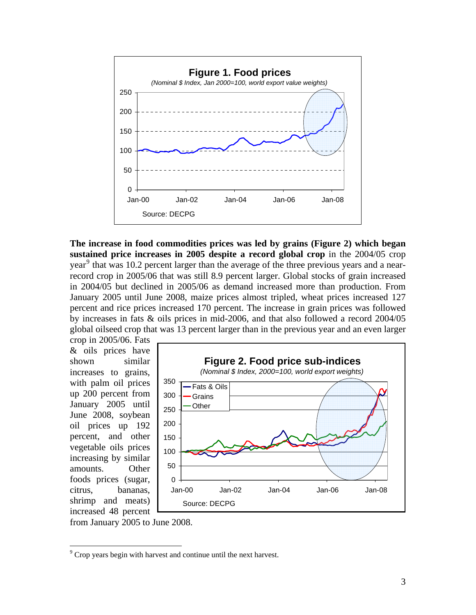

**The increase in food commodities prices was led by grains (Figure 2) which began sustained price increases in 2005 despite a record global crop** in the 2004/05 crop year<sup>[9](#page-3-0)</sup> that was 10.2 percent larger than the average of the three previous years and a nearrecord crop in 2005/06 that was still 8.9 percent larger. Global stocks of grain increased in 2004/05 but declined in 2005/06 as demand increased more than production. From January 2005 until June 2008, maize prices almost tripled, wheat prices increased 127 percent and rice prices increased 170 percent. The increase in grain prices was followed by increases in fats & oils prices in mid-2006, and that also followed a record 2004/05 global oilseed crop that was 13 percent larger than in the previous year and an even larger

crop in 2005/06. Fats & oils prices have shown similar increases to grains, with palm oil prices up 200 percent from January 2005 until June 2008, soybean oil prices up 192 percent, and other vegetable oils prices increasing by similar amounts. Other foods prices (sugar, citrus, bananas, shrimp and meats) increased 48 percent

<u>.</u>



from January 2005 to June 2008.

<span id="page-3-0"></span> $9^9$  Crop years begin with harvest and continue until the next harvest.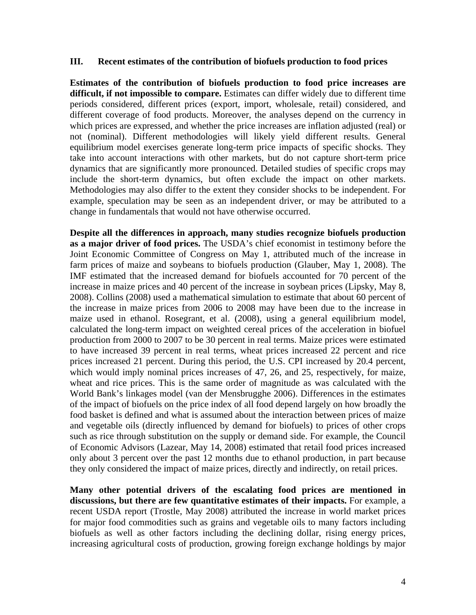#### **III. Recent estimates of the contribution of biofuels production to food prices**

**Estimates of the contribution of biofuels production to food price increases are difficult, if not impossible to compare.** Estimates can differ widely due to different time periods considered, different prices (export, import, wholesale, retail) considered, and different coverage of food products. Moreover, the analyses depend on the currency in which prices are expressed, and whether the price increases are inflation adjusted (real) or not (nominal). Different methodologies will likely yield different results. General equilibrium model exercises generate long-term price impacts of specific shocks. They take into account interactions with other markets, but do not capture short-term price dynamics that are significantly more pronounced. Detailed studies of specific crops may include the short-term dynamics, but often exclude the impact on other markets. Methodologies may also differ to the extent they consider shocks to be independent. For example, speculation may be seen as an independent driver, or may be attributed to a change in fundamentals that would not have otherwise occurred.

**Despite all the differences in approach, many studies recognize biofuels production as a major driver of food prices.** The USDA's chief economist in testimony before the Joint Economic Committee of Congress on May 1, attributed much of the increase in farm prices of maize and soybeans to biofuels production (Glauber, May 1, 2008). The IMF estimated that the increased demand for biofuels accounted for 70 percent of the increase in maize prices and 40 percent of the increase in soybean prices (Lipsky, May 8, 2008). Collins (2008) used a mathematical simulation to estimate that about 60 percent of the increase in maize prices from 2006 to 2008 may have been due to the increase in maize used in ethanol. Rosegrant, et al. (2008), using a general equilibrium model, calculated the long-term impact on weighted cereal prices of the acceleration in biofuel production from 2000 to 2007 to be 30 percent in real terms. Maize prices were estimated to have increased 39 percent in real terms, wheat prices increased 22 percent and rice prices increased 21 percent. During this period, the U.S. CPI increased by 20.4 percent, which would imply nominal prices increases of 47, 26, and 25, respectively, for maize, wheat and rice prices. This is the same order of magnitude as was calculated with the World Bank's linkages model (van der Mensbrugghe 2006). Differences in the estimates of the impact of biofuels on the price index of all food depend largely on how broadly the food basket is defined and what is assumed about the interaction between prices of maize and vegetable oils (directly influenced by demand for biofuels) to prices of other crops such as rice through substitution on the supply or demand side. For example, the Council of Economic Advisors (Lazear, May 14, 2008) estimated that retail food prices increased only about 3 percent over the past 12 months due to ethanol production, in part because they only considered the impact of maize prices, directly and indirectly, on retail prices.

**Many other potential drivers of the escalating food prices are mentioned in discussions, but there are few quantitative estimates of their impacts.** For example, a recent USDA report (Trostle, May 2008) attributed the increase in world market prices for major food commodities such as grains and vegetable oils to many factors including biofuels as well as other factors including the declining dollar, rising energy prices, increasing agricultural costs of production, growing foreign exchange holdings by major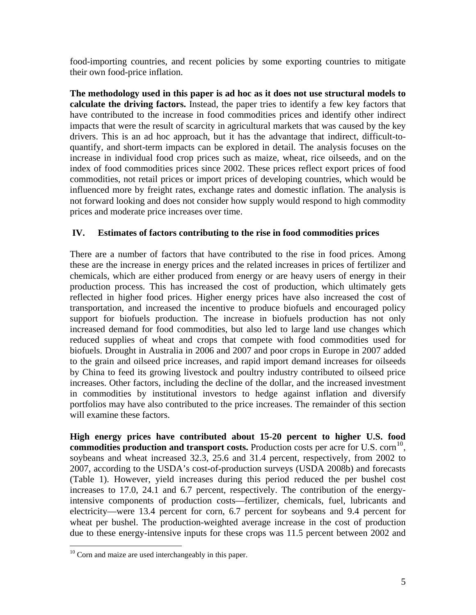food-importing countries, and recent policies by some exporting countries to mitigate their own food-price inflation.

**The methodology used in this paper is ad hoc as it does not use structural models to calculate the driving factors.** Instead, the paper tries to identify a few key factors that have contributed to the increase in food commodities prices and identify other indirect impacts that were the result of scarcity in agricultural markets that was caused by the key drivers. This is an ad hoc approach, but it has the advantage that indirect, difficult-toquantify, and short-term impacts can be explored in detail. The analysis focuses on the increase in individual food crop prices such as maize, wheat, rice oilseeds, and on the index of food commodities prices since 2002. These prices reflect export prices of food commodities, not retail prices or import prices of developing countries, which would be influenced more by freight rates, exchange rates and domestic inflation. The analysis is not forward looking and does not consider how supply would respond to high commodity prices and moderate price increases over time.

### **IV. Estimates of factors contributing to the rise in food commodities prices**

There are a number of factors that have contributed to the rise in food prices. Among these are the increase in energy prices and the related increases in prices of fertilizer and chemicals, which are either produced from energy or are heavy users of energy in their production process. This has increased the cost of production, which ultimately gets reflected in higher food prices. Higher energy prices have also increased the cost of transportation, and increased the incentive to produce biofuels and encouraged policy support for biofuels production. The increase in biofuels production has not only increased demand for food commodities, but also led to large land use changes which reduced supplies of wheat and crops that compete with food commodities used for biofuels. Drought in Australia in 2006 and 2007 and poor crops in Europe in 2007 added to the grain and oilseed price increases, and rapid import demand increases for oilseeds by China to feed its growing livestock and poultry industry contributed to oilseed price increases. Other factors, including the decline of the dollar, and the increased investment in commodities by institutional investors to hedge against inflation and diversify portfolios may have also contributed to the price increases. The remainder of this section will examine these factors.

**High energy prices have contributed about 15-20 percent to higher U.S. food commodities production and transport costs.** Production costs per acre for U.S. corn<sup>[10](#page-5-0)</sup>, soybeans and wheat increased 32.3, 25.6 and 31.4 percent, respectively, from 2002 to 2007, according to the USDA's cost-of-production surveys (USDA 2008b) and forecasts (Table 1). However, yield increases during this period reduced the per bushel cost increases to 17.0, 24.1 and 6.7 percent, respectively. The contribution of the energyintensive components of production costs—fertilizer, chemicals, fuel, lubricants and electricity—were 13.4 percent for corn, 6.7 percent for soybeans and 9.4 percent for wheat per bushel. The production-weighted average increase in the cost of production due to these energy-intensive inputs for these crops was 11.5 percent between 2002 and

<u>.</u>

<span id="page-5-0"></span><sup>&</sup>lt;sup>10</sup> Corn and maize are used interchangeably in this paper.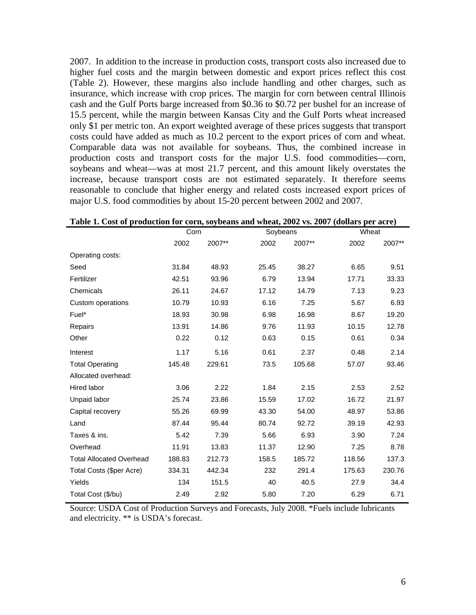2007. In addition to the increase in production costs, transport costs also increased due to higher fuel costs and the margin between domestic and export prices reflect this cost (Table 2). However, these margins also include handling and other charges, such as insurance, which increase with crop prices. The margin for corn between central Illinois cash and the Gulf Ports barge increased from \$0.36 to \$0.72 per bushel for an increase of 15.5 percent, while the margin between Kansas City and the Gulf Ports wheat increased only \$1 per metric ton. An export weighted average of these prices suggests that transport costs could have added as much as 10.2 percent to the export prices of corn and wheat. Comparable data was not available for soybeans. Thus, the combined increase in production costs and transport costs for the major U.S. food commodities—corn, soybeans and wheat—was at most 21.7 percent, and this amount likely overstates the increase, because transport costs are not estimated separately. It therefore seems reasonable to conclude that higher energy and related costs increased export prices of major U.S. food commodities by about 15-20 percent between 2002 and 2007.

|                                 | Corn   |        |       | Soybeans |        | Wheat  |  |
|---------------------------------|--------|--------|-------|----------|--------|--------|--|
|                                 | 2002   | 2007** | 2002  | 2007**   | 2002   | 2007** |  |
| Operating costs:                |        |        |       |          |        |        |  |
| Seed                            | 31.84  | 48.93  | 25.45 | 38.27    | 6.65   | 9.51   |  |
| Fertilizer                      | 42.51  | 93.96  | 6.79  | 13.94    | 17.71  | 33.33  |  |
| Chemicals                       | 26.11  | 24.67  | 17.12 | 14.79    | 7.13   | 9.23   |  |
| Custom operations               | 10.79  | 10.93  | 6.16  | 7.25     | 5.67   | 6.93   |  |
| Fuel*                           | 18.93  | 30.98  | 6.98  | 16.98    | 8.67   | 19.20  |  |
| Repairs                         | 13.91  | 14.86  | 9.76  | 11.93    | 10.15  | 12.78  |  |
| Other                           | 0.22   | 0.12   | 0.63  | 0.15     | 0.61   | 0.34   |  |
| Interest                        | 1.17   | 5.16   | 0.61  | 2.37     | 0.48   | 2.14   |  |
| <b>Total Operating</b>          | 145.48 | 229.61 | 73.5  | 105.68   | 57.07  | 93.46  |  |
| Allocated overhead:             |        |        |       |          |        |        |  |
| Hired labor                     | 3.06   | 2.22   | 1.84  | 2.15     | 2.53   | 2.52   |  |
| Unpaid labor                    | 25.74  | 23.86  | 15.59 | 17.02    | 16.72  | 21.97  |  |
| Capital recovery                | 55.26  | 69.99  | 43.30 | 54.00    | 48.97  | 53.86  |  |
| Land                            | 87.44  | 95.44  | 80.74 | 92.72    | 39.19  | 42.93  |  |
| Taxes & ins.                    | 5.42   | 7.39   | 5.66  | 6.93     | 3.90   | 7.24   |  |
| Overhead                        | 11.91  | 13.83  | 11.37 | 12.90    | 7.25   | 8.78   |  |
| <b>Total Allocated Overhead</b> | 188.83 | 212.73 | 158.5 | 185.72   | 118.56 | 137.3  |  |
| Total Costs (\$per Acre)        | 334.31 | 442.34 | 232   | 291.4    | 175.63 | 230.76 |  |
| Yields                          | 134    | 151.5  | 40    | 40.5     | 27.9   | 34.4   |  |
| Total Cost (\$/bu)              | 2.49   | 2.92   | 5.80  | 7.20     | 6.29   | 6.71   |  |

**Table 1. Cost of production for corn, soybeans and wheat, 2002 vs. 2007 (dollars per acre)** 

Source: USDA Cost of Production Surveys and Forecasts, July 2008. \*Fuels include lubricants and electricity. \*\* is USDA's forecast.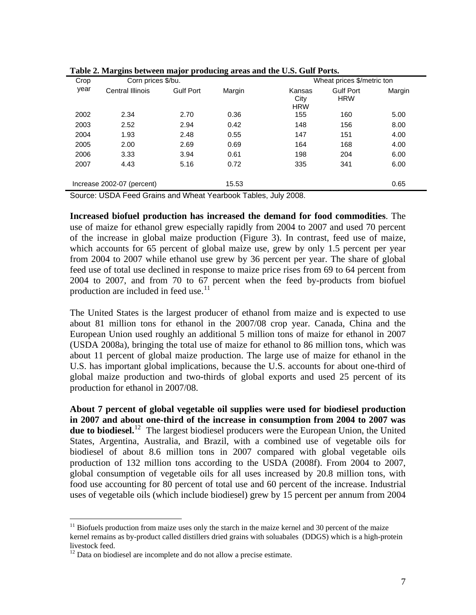| Lavic 2. Margins between major producing areas and the O.S. Guil I of ts. |                            |                  |        |                              |                                |        |  |
|---------------------------------------------------------------------------|----------------------------|------------------|--------|------------------------------|--------------------------------|--------|--|
| Crop                                                                      | Corn prices \$/bu.         |                  |        | Wheat prices \$/metric ton   |                                |        |  |
| year                                                                      | Central Illinois           | <b>Gulf Port</b> | Margin | Kansas<br>City<br><b>HRW</b> | <b>Gulf Port</b><br><b>HRW</b> | Margin |  |
| 2002                                                                      | 2.34                       | 2.70             | 0.36   | 155                          | 160                            | 5.00   |  |
| 2003                                                                      | 2.52                       | 2.94             | 0.42   | 148                          | 156                            | 8.00   |  |
| 2004                                                                      | 1.93                       | 2.48             | 0.55   | 147                          | 151                            | 4.00   |  |
| 2005                                                                      | 2.00                       | 2.69             | 0.69   | 164                          | 168                            | 4.00   |  |
| 2006                                                                      | 3.33                       | 3.94             | 0.61   | 198                          | 204                            | 6.00   |  |
| 2007                                                                      | 4.43                       | 5.16             | 0.72   | 335                          | 341                            | 6.00   |  |
|                                                                           |                            |                  |        |                              |                                |        |  |
|                                                                           | Increase 2002-07 (percent) |                  | 15.53  |                              |                                | 0.65   |  |

| Table 2. Margins between major producing areas and the U.S. Gulf Ports. |  |  |  |
|-------------------------------------------------------------------------|--|--|--|

Source: USDA Feed Grains and Wheat Yearbook Tables, July 2008.

**Increased biofuel production has increased the demand for food commodities**. The use of maize for ethanol grew especially rapidly from 2004 to 2007 and used 70 percent of the increase in global maize production (Figure 3). In contrast, feed use of maize, which accounts for 65 percent of global maize use, grew by only 1.5 percent per year from 2004 to 2007 while ethanol use grew by 36 percent per year. The share of global feed use of total use declined in response to maize price rises from 69 to 64 percent from 2004 to 2007, and from 70 to 67 percent when the feed by-products from biofuel production are included in feed use.<sup>[11](#page-7-0)</sup>

The United States is the largest producer of ethanol from maize and is expected to use about 81 million tons for ethanol in the 2007/08 crop year. Canada, China and the European Union used roughly an additional 5 million tons of maize for ethanol in 2007 (USDA 2008a), bringing the total use of maize for ethanol to 86 million tons, which was about 11 percent of global maize production. The large use of maize for ethanol in the U.S. has important global implications, because the U.S. accounts for about one-third of global maize production and two-thirds of global exports and used 25 percent of its production for ethanol in 2007/08.

**About 7 percent of global vegetable oil supplies were used for biodiesel production in 2007 and about one-third of the increase in consumption from 2004 to 2007 was**  due to biodiesel.<sup>[12](#page-7-1)</sup> The largest biodiesel producers were the European Union, the United States, Argentina, Australia, and Brazil, with a combined use of vegetable oils for biodiesel of about 8.6 million tons in 2007 compared with global vegetable oils production of 132 million tons according to the USDA (2008f). From 2004 to 2007, global consumption of vegetable oils for all uses increased by 20.8 million tons, with food use accounting for 80 percent of total use and 60 percent of the increase. Industrial uses of vegetable oils (which include biodiesel) grew by 15 percent per annum from 2004

<u>.</u>

<span id="page-7-0"></span> $11$  Biofuels production from maize uses only the starch in the maize kernel and 30 percent of the maize kernel remains as by-product called distillers dried grains with soluabales (DDGS) which is a high-protein livestock feed.

<span id="page-7-1"></span> $12$  Data on biodiesel are incomplete and do not allow a precise estimate.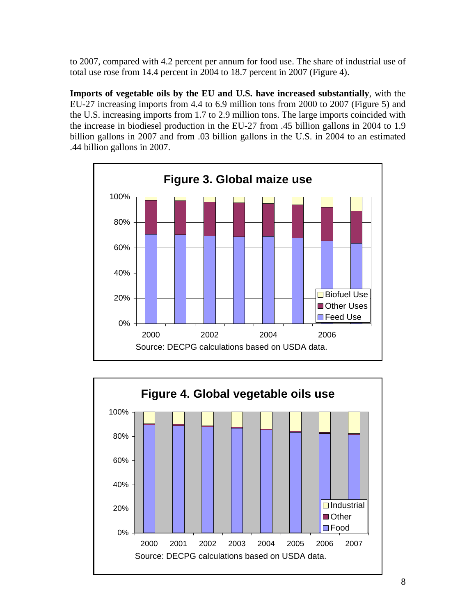to 2007, compared with 4.2 percent per annum for food use. The share of industrial use of total use rose from 14.4 percent in 2004 to 18.7 percent in 2007 (Figure 4).

**Imports of vegetable oils by the EU and U.S. have increased substantially**, with the EU-27 increasing imports from 4.4 to 6.9 million tons from 2000 to 2007 (Figure 5) and the U.S. increasing imports from 1.7 to 2.9 million tons. The large imports coincided with the increase in biodiesel production in the EU-27 from .45 billion gallons in 2004 to 1.9 billion gallons in 2007 and from .03 billion gallons in the U.S. in 2004 to an estimated .44 billion gallons in 2007.



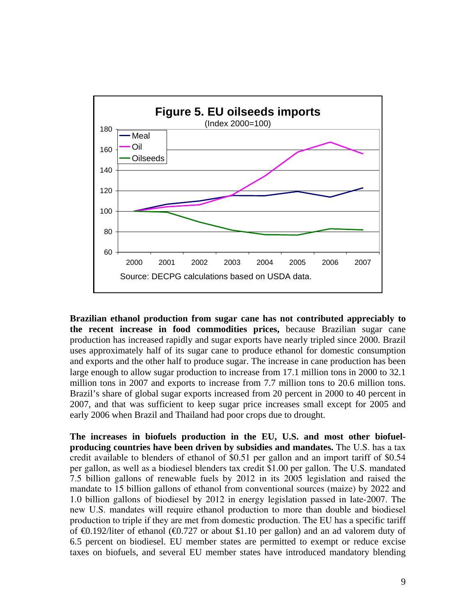

**Brazilian ethanol production from sugar cane has not contributed appreciably to the recent increase in food commodities prices,** because Brazilian sugar cane production has increased rapidly and sugar exports have nearly tripled since 2000. Brazil uses approximately half of its sugar cane to produce ethanol for domestic consumption and exports and the other half to produce sugar. The increase in cane production has been large enough to allow sugar production to increase from 17.1 million tons in 2000 to 32.1 million tons in 2007 and exports to increase from 7.7 million tons to 20.6 million tons. Brazil's share of global sugar exports increased from 20 percent in 2000 to 40 percent in 2007, and that was sufficient to keep sugar price increases small except for 2005 and early 2006 when Brazil and Thailand had poor crops due to drought.

**The increases in biofuels production in the EU, U.S. and most other biofuelproducing countries have been driven by subsidies and mandates.** The U.S. has a tax credit available to blenders of ethanol of \$0.51 per gallon and an import tariff of \$0.54 per gallon, as well as a biodiesel blenders tax credit \$1.00 per gallon. The U.S. mandated 7.5 billion gallons of renewable fuels by 2012 in its 2005 legislation and raised the mandate to 15 billion gallons of ethanol from conventional sources (maize) by 2022 and 1.0 billion gallons of biodiesel by 2012 in energy legislation passed in late-2007. The new U.S. mandates will require ethanol production to more than double and biodiesel production to triple if they are met from domestic production. The EU has a specific tariff of  $\bigoplus$ .192/liter of ethanol ( $\bigoplus$ .727 or about \$1.10 per gallon) and an ad valorem duty of 6.5 percent on biodiesel. EU member states are permitted to exempt or reduce excise taxes on biofuels, and several EU member states have introduced mandatory blending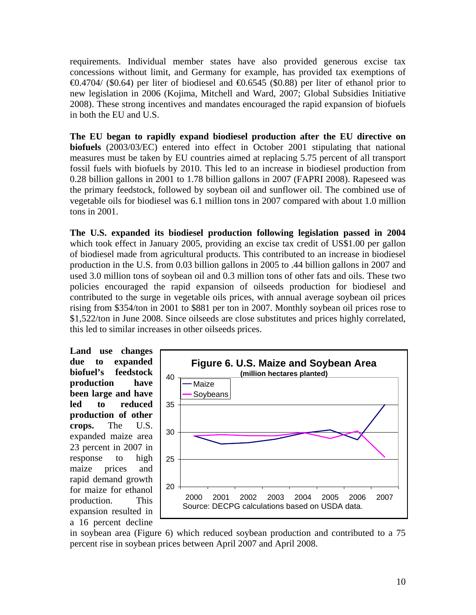requirements. Individual member states have also provided generous excise tax concessions without limit, and Germany for example, has provided tax exemptions of  $\Theta$ .4704/ (\$0.64) per liter of biodiesel and  $\Theta$ .6545 (\$0.88) per liter of ethanol prior to new legislation in 2006 (Kojima, Mitchell and Ward, 2007; Global Subsidies Initiative 2008). These strong incentives and mandates encouraged the rapid expansion of biofuels in both the EU and U.S.

**The EU began to rapidly expand biodiesel production after the EU directive on biofuels** (2003/03/EC) entered into effect in October 2001 stipulating that national measures must be taken by EU countries aimed at replacing 5.75 percent of all transport fossil fuels with biofuels by 2010. This led to an increase in biodiesel production from 0.28 billion gallons in 2001 to 1.78 billion gallons in 2007 (FAPRI 2008). Rapeseed was the primary feedstock, followed by soybean oil and sunflower oil. The combined use of vegetable oils for biodiesel was 6.1 million tons in 2007 compared with about 1.0 million tons in 2001.

**The U.S. expanded its biodiesel production following legislation passed in 2004** which took effect in January 2005, providing an excise tax credit of US\$1.00 per gallon of biodiesel made from agricultural products. This contributed to an increase in biodiesel production in the U.S. from 0.03 billion gallons in 2005 to .44 billion gallons in 2007 and used 3.0 million tons of soybean oil and 0.3 million tons of other fats and oils. These two policies encouraged the rapid expansion of oilseeds production for biodiesel and contributed to the surge in vegetable oils prices, with annual average soybean oil prices rising from \$354/ton in 2001 to \$881 per ton in 2007. Monthly soybean oil prices rose to \$1,522/ton in June 2008. Since oilseeds are close substitutes and prices highly correlated, this led to similar increases in other oilseeds prices.

**Land use changes due to expanded biofuel's feedstock production have been large and have led to reduced production of other crops.** The U.S. expanded maize area 23 percent in 2007 in response to high maize prices and rapid demand growth for maize for ethanol production. This expansion resulted in a 16 percent decline



in soybean area (Figure 6) which reduced soybean production and contributed to a 75 percent rise in soybean prices between April 2007 and April 2008.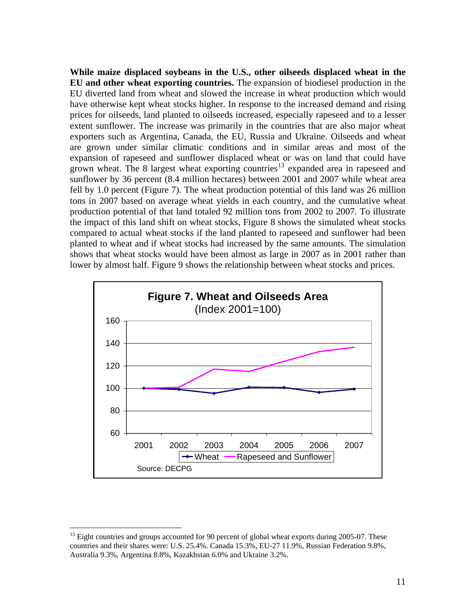**While maize displaced soybeans in the U.S., other oilseeds displaced wheat in the EU and other wheat exporting countries.** The expansion of biodiesel production in the EU diverted land from wheat and slowed the increase in wheat production which would have otherwise kept wheat stocks higher. In response to the increased demand and rising prices for oilseeds, land planted to oilseeds increased, especially rapeseed and to a lesser extent sunflower. The increase was primarily in the countries that are also major wheat exporters such as Argentina, Canada, the EU, Russia and Ukraine. Oilseeds and wheat are grown under similar climatic conditions and in similar areas and most of the expansion of rapeseed and sunflower displaced wheat or was on land that could have grown wheat. The 8 largest wheat exporting countries<sup>[13](#page-11-0)</sup> expanded area in rapeseed and sunflower by 36 percent (8.4 million hectares) between 2001 and 2007 while wheat area fell by 1.0 percent (Figure 7). The wheat production potential of this land was 26 million tons in 2007 based on average wheat yields in each country, and the cumulative wheat production potential of that land totaled 92 million tons from 2002 to 2007. To illustrate the impact of this land shift on wheat stocks, Figure 8 shows the simulated wheat stocks compared to actual wheat stocks if the land planted to rapeseed and sunflower had been planted to wheat and if wheat stocks had increased by the same amounts. The simulation shows that wheat stocks would have been almost as large in 2007 as in 2001 rather than lower by almost half. Figure 9 shows the relationship between wheat stocks and prices.



 $\overline{a}$ 

<span id="page-11-0"></span><sup>&</sup>lt;sup>13</sup> Eight countries and groups accounted for 90 percent of global wheat exports during 2005-07. These countries and their shares were: U.S. 25.4%. Canada 15.3%, EU-27 11.9%, Russian Federation 9.8%, Australia 9.3%, Argentina 8.8%, Kazakhstan 6.0% and Ukraine 3.2%.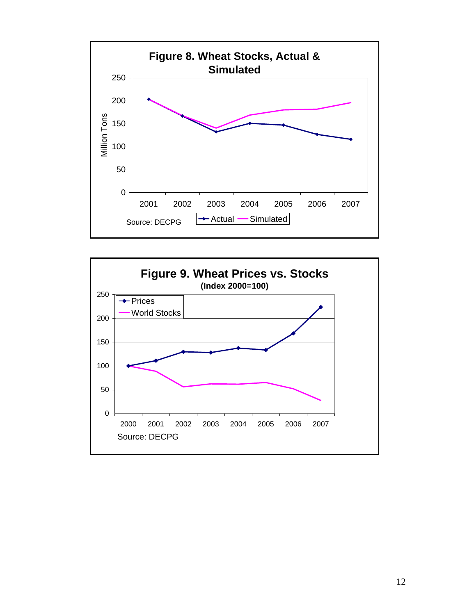

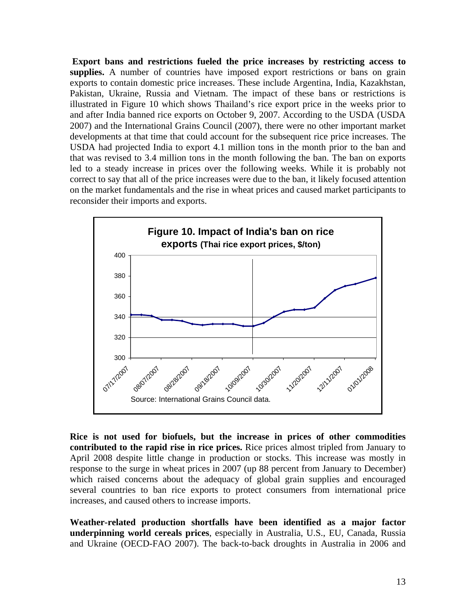**Export bans and restrictions fueled the price increases by restricting access to supplies.** A number of countries have imposed export restrictions or bans on grain exports to contain domestic price increases. These include Argentina, India, Kazakhstan, Pakistan, Ukraine, Russia and Vietnam. The impact of these bans or restrictions is illustrated in Figure 10 which shows Thailand's rice export price in the weeks prior to and after India banned rice exports on October 9, 2007. According to the USDA (USDA 2007) and the International Grains Council (2007), there were no other important market developments at that time that could account for the subsequent rice price increases. The USDA had projected India to export 4.1 million tons in the month prior to the ban and that was revised to 3.4 million tons in the month following the ban. The ban on exports led to a steady increase in prices over the following weeks. While it is probably not correct to say that all of the price increases were due to the ban, it likely focused attention on the market fundamentals and the rise in wheat prices and caused market participants to reconsider their imports and exports.



**Rice is not used for biofuels, but the increase in prices of other commodities contributed to the rapid rise in rice prices.** Rice prices almost tripled from January to April 2008 despite little change in production or stocks. This increase was mostly in response to the surge in wheat prices in 2007 (up 88 percent from January to December) which raised concerns about the adequacy of global grain supplies and encouraged several countries to ban rice exports to protect consumers from international price increases, and caused others to increase imports.

**Weather-related production shortfalls have been identified as a major factor underpinning world cereals prices**, especially in Australia, U.S., EU, Canada, Russia and Ukraine (OECD-FAO 2007). The back-to-back droughts in Australia in 2006 and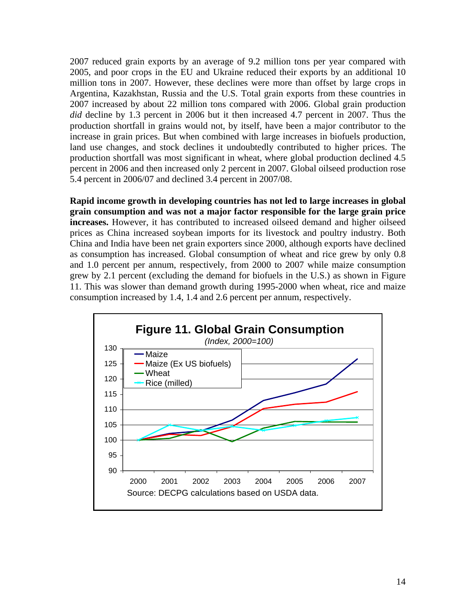2007 reduced grain exports by an average of 9.2 million tons per year compared with 2005, and poor crops in the EU and Ukraine reduced their exports by an additional 10 million tons in 2007. However, these declines were more than offset by large crops in Argentina, Kazakhstan, Russia and the U.S. Total grain exports from these countries in 2007 increased by about 22 million tons compared with 2006. Global grain production *did* decline by 1.3 percent in 2006 but it then increased 4.7 percent in 2007. Thus the production shortfall in grains would not, by itself, have been a major contributor to the increase in grain prices. But when combined with large increases in biofuels production, land use changes, and stock declines it undoubtedly contributed to higher prices. The production shortfall was most significant in wheat, where global production declined 4.5 percent in 2006 and then increased only 2 percent in 2007. Global oilseed production rose 5.4 percent in 2006/07 and declined 3.4 percent in 2007/08.

**Rapid income growth in developing countries has not led to large increases in global grain consumption and was not a major factor responsible for the large grain price increases.** However, it has contributed to increased oilseed demand and higher oilseed prices as China increased soybean imports for its livestock and poultry industry. Both China and India have been net grain exporters since 2000, although exports have declined as consumption has increased. Global consumption of wheat and rice grew by only 0.8 and 1.0 percent per annum, respectively, from 2000 to 2007 while maize consumption grew by 2.1 percent (excluding the demand for biofuels in the U.S.) as shown in Figure 11. This was slower than demand growth during 1995-2000 when wheat, rice and maize consumption increased by 1.4, 1.4 and 2.6 percent per annum, respectively.

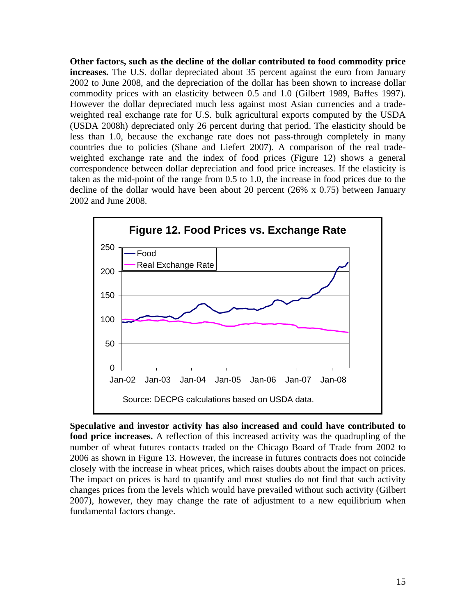**Other factors, such as the decline of the dollar contributed to food commodity price increases.** The U.S. dollar depreciated about 35 percent against the euro from January 2002 to June 2008, and the depreciation of the dollar has been shown to increase dollar commodity prices with an elasticity between 0.5 and 1.0 (Gilbert 1989, Baffes 1997). However the dollar depreciated much less against most Asian currencies and a tradeweighted real exchange rate for U.S. bulk agricultural exports computed by the USDA (USDA 2008h) depreciated only 26 percent during that period. The elasticity should be less than 1.0, because the exchange rate does not pass-through completely in many countries due to policies (Shane and Liefert 2007). A comparison of the real tradeweighted exchange rate and the index of food prices (Figure 12) shows a general correspondence between dollar depreciation and food price increases. If the elasticity is taken as the mid-point of the range from 0.5 to 1.0, the increase in food prices due to the decline of the dollar would have been about 20 percent (26% x 0.75) between January 2002 and June 2008.



**Speculative and investor activity has also increased and could have contributed to food price increases.** A reflection of this increased activity was the quadrupling of the number of wheat futures contacts traded on the Chicago Board of Trade from 2002 to 2006 as shown in Figure 13. However, the increase in futures contracts does not coincide closely with the increase in wheat prices, which raises doubts about the impact on prices. The impact on prices is hard to quantify and most studies do not find that such activity changes prices from the levels which would have prevailed without such activity (Gilbert 2007), however, they may change the rate of adjustment to a new equilibrium when fundamental factors change.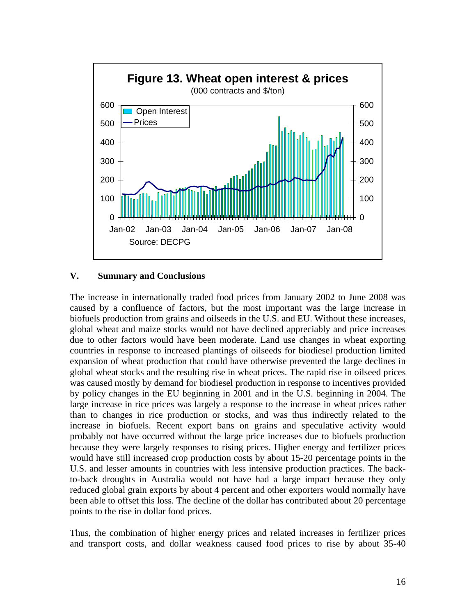

#### **V. Summary and Conclusions**

The increase in internationally traded food prices from January 2002 to June 2008 was caused by a confluence of factors, but the most important was the large increase in biofuels production from grains and oilseeds in the U.S. and EU. Without these increases, global wheat and maize stocks would not have declined appreciably and price increases due to other factors would have been moderate. Land use changes in wheat exporting countries in response to increased plantings of oilseeds for biodiesel production limited expansion of wheat production that could have otherwise prevented the large declines in global wheat stocks and the resulting rise in wheat prices. The rapid rise in oilseed prices was caused mostly by demand for biodiesel production in response to incentives provided by policy changes in the EU beginning in 2001 and in the U.S. beginning in 2004. The large increase in rice prices was largely a response to the increase in wheat prices rather than to changes in rice production or stocks, and was thus indirectly related to the increase in biofuels. Recent export bans on grains and speculative activity would probably not have occurred without the large price increases due to biofuels production because they were largely responses to rising prices. Higher energy and fertilizer prices would have still increased crop production costs by about 15-20 percentage points in the U.S. and lesser amounts in countries with less intensive production practices. The backto-back droughts in Australia would not have had a large impact because they only reduced global grain exports by about 4 percent and other exporters would normally have been able to offset this loss. The decline of the dollar has contributed about 20 percentage points to the rise in dollar food prices.

Thus, the combination of higher energy prices and related increases in fertilizer prices and transport costs, and dollar weakness caused food prices to rise by about 35-40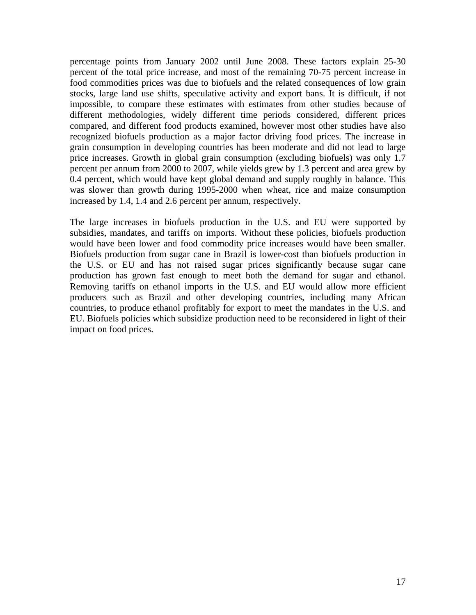percentage points from January 2002 until June 2008. These factors explain 25-30 percent of the total price increase, and most of the remaining 70-75 percent increase in food commodities prices was due to biofuels and the related consequences of low grain stocks, large land use shifts, speculative activity and export bans. It is difficult, if not impossible, to compare these estimates with estimates from other studies because of different methodologies, widely different time periods considered, different prices compared, and different food products examined, however most other studies have also recognized biofuels production as a major factor driving food prices. The increase in grain consumption in developing countries has been moderate and did not lead to large price increases. Growth in global grain consumption (excluding biofuels) was only 1.7 percent per annum from 2000 to 2007, while yields grew by 1.3 percent and area grew by 0.4 percent, which would have kept global demand and supply roughly in balance. This was slower than growth during 1995-2000 when wheat, rice and maize consumption increased by 1.4, 1.4 and 2.6 percent per annum, respectively.

The large increases in biofuels production in the U.S. and EU were supported by subsidies, mandates, and tariffs on imports. Without these policies, biofuels production would have been lower and food commodity price increases would have been smaller. Biofuels production from sugar cane in Brazil is lower-cost than biofuels production in the U.S. or EU and has not raised sugar prices significantly because sugar cane production has grown fast enough to meet both the demand for sugar and ethanol. Removing tariffs on ethanol imports in the U.S. and EU would allow more efficient producers such as Brazil and other developing countries, including many African countries, to produce ethanol profitably for export to meet the mandates in the U.S. and EU. Biofuels policies which subsidize production need to be reconsidered in light of their impact on food prices.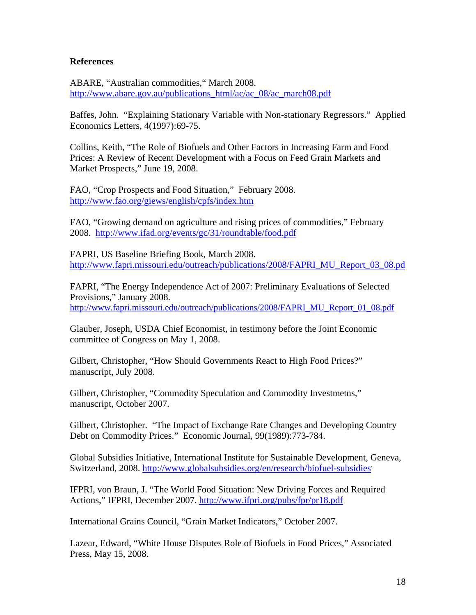#### **References**

ABARE, "Australian commodities," March 2008. [http://www.abare.gov.au/publications\\_html/ac/ac\\_08/ac\\_march08.pdf](http://www.abare.gov.au/publications_html/ac/ac_08/ac_march08.pdf)

Baffes, John. "Explaining Stationary Variable with Non-stationary Regressors." Applied Economics Letters, 4(1997):69-75.

Collins, Keith, "The Role of Biofuels and Other Factors in Increasing Farm and Food Prices: A Review of Recent Development with a Focus on Feed Grain Markets and Market Prospects," June 19, 2008.

FAO, "Crop Prospects and Food Situation," February 2008. <http://www.fao.org/giews/english/cpfs/index.htm>

FAO, "Growing demand on agriculture and rising prices of commodities," February 2008. <http://www.ifad.org/events/gc/31/roundtable/food.pdf>

FAPRI, US Baseline Briefing Book, March 2008. [http://www.fapri.missouri.edu/outreach/publications/2008/FAPRI\\_MU\\_Report\\_03\\_08.pd](http://www.fapri.missouri.edu/outreach/publications/2008/FAPRI_MU_Report_03_08.pd)

FAPRI, "The Energy Independence Act of 2007: Preliminary Evaluations of Selected Provisions," January 2008. [http://www.fapri.missouri.edu/outreach/publications/2008/FAPRI\\_MU\\_Report\\_01\\_08.pdf](http://www.fapri.missouri.edu/outreach/publications/2008/FAPRI_MU_Report_01_08.pdf)

Glauber, Joseph, USDA Chief Economist, in testimony before the Joint Economic committee of Congress on May 1, 2008.

Gilbert, Christopher, "How Should Governments React to High Food Prices?" manuscript, July 2008.

Gilbert, Christopher, "Commodity Speculation and Commodity Investmetns," manuscript, October 2007.

Gilbert, Christopher. "The Impact of Exchange Rate Changes and Developing Country Debt on Commodity Prices." Economic Journal, 99(1989):773-784.

Global Subsidies Initiative, International Institute for Sustainable Development, Geneva, Switzerland, 2008.<http://www.globalsubsidies.org/en/research/biofuel-subsidies>.

IFPRI, von Braun, J. "The World Food Situation: New Driving Forces and Required Actions," IFPRI, December 2007.<http://www.ifpri.org/pubs/fpr/pr18.pdf>

International Grains Council, "Grain Market Indicators," October 2007.

Lazear, Edward, "White House Disputes Role of Biofuels in Food Prices," Associated Press, May 15, 2008.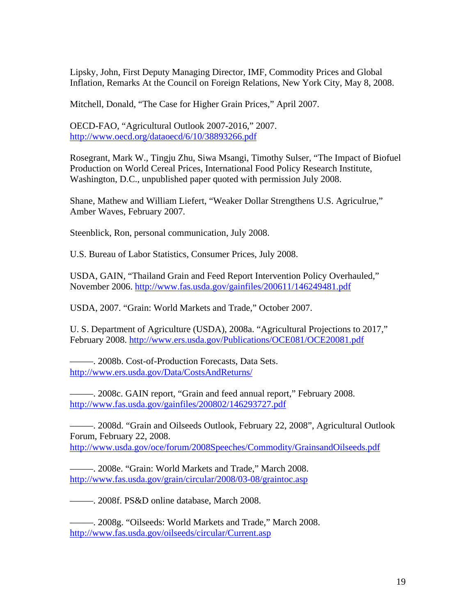Lipsky, John, First Deputy Managing Director, IMF, Commodity Prices and Global Inflation, Remarks At the Council on Foreign Relations, New York City, May 8, 2008.

Mitchell, Donald, "The Case for Higher Grain Prices," April 2007.

OECD-FAO, "Agricultural Outlook 2007-2016," 2007. <http://www.oecd.org/dataoecd/6/10/38893266.pdf>

Rosegrant, Mark W., Tingju Zhu, Siwa Msangi, Timothy Sulser, "The Impact of Biofuel Production on World Cereal Prices, International Food Policy Research Institute, Washington, D.C., unpublished paper quoted with permission July 2008.

Shane, Mathew and William Liefert, "Weaker Dollar Strengthens U.S. Agriculrue," Amber Waves, February 2007.

Steenblick, Ron, personal communication, July 2008.

U.S. Bureau of Labor Statistics, Consumer Prices, July 2008.

USDA, GAIN, "Thailand Grain and Feed Report Intervention Policy Overhauled," November 2006. <http://www.fas.usda.gov/gainfiles/200611/146249481.pdf>

USDA, 2007. "Grain: World Markets and Trade," October 2007.

U. S. Department of Agriculture (USDA), 2008a. "Agricultural Projections to 2017," February 2008.<http://www.ers.usda.gov/Publications/OCE081/OCE20081.pdf>

–——. 2008b. Cost-of-Production Forecasts, Data Sets. <http://www.ers.usda.gov/Data/CostsAndReturns/>

–——. 2008c. GAIN report, "Grain and feed annual report," February 2008. <http://www.fas.usda.gov/gainfiles/200802/146293727.pdf>

–——. 2008d. "Grain and Oilseeds Outlook, February 22, 2008", Agricultural Outlook Forum, February 22, 2008. <http://www.usda.gov/oce/forum/2008Speeches/Commodity/GrainsandOilseeds.pdf>

–——. 2008e. "Grain: World Markets and Trade," March 2008. <http://www.fas.usda.gov/grain/circular/2008/03-08/graintoc.asp>

–——. 2008f. PS&D online database, March 2008.

–——. 2008g. "Oilseeds: World Markets and Trade," March 2008. <http://www.fas.usda.gov/oilseeds/circular/Current.asp>